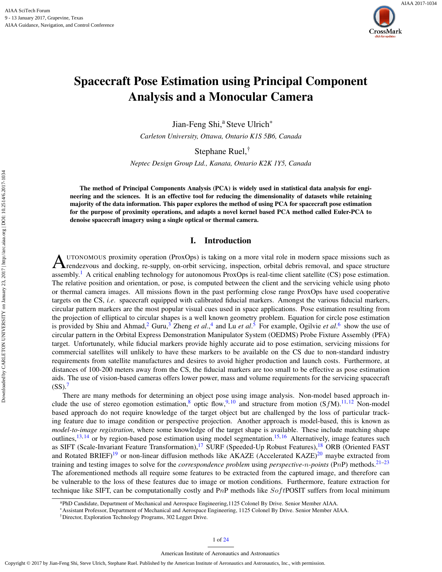

# Spacecraft Pose Estimation using Principal Component Analysis and a Monocular Camera

Jian-Feng Shi,<sup>a</sup> Steve Ulrich<sup>\*</sup>

*Carleton University, Ottawa, Ontario K1S 5B6, Canada*

Stephane Ruel,†

*Neptec Design Group Ltd., Kanata, Ontario K2K 1Y5, Canada*

The method of Principal Components Analysis (PCA) is widely used in statistical data analysis for engineering and the sciences. It is an effective tool for reducing the dimensionality of datasets while retaining majority of the data information. This paper explores the method of using PCA for spacecraft pose estimation for the purpose of proximity operations, and adapts a novel kernel based PCA method called Euler-PCA to denoise spacecraft imagery using a single optical or thermal camera.

## I. Introduction

A UTONOMOUS proximity operation (ProxOps) is taking on a more vital role in modern space missions such as<br>rendezvous and docking, re-supply, on-orbit servicing, inspection, orbital debris removal, and space structure UTONOMOUS proximity operation (ProxOps) is taking on a more vital role in modern space missions such as assembly.<sup>[1](#page-22-0)</sup> A critical enabling technology for autonomous ProxOps is real-time client satellite (CS) pose estimation. The relative position and orientation, or pose, is computed between the client and the servicing vehicle using photo or thermal camera images. All missions flown in the past performing close range ProxOps have used cooperative targets on the CS, *i.e*. spacecraft equipped with calibrated fiducial markers. Amongst the various fiducial markers, circular pattern markers are the most popular visual cues used in space applications. Pose estimation resulting from the projection of elliptical to circular shapes is a well known geometry problem. Equation for circle pose estimation is provided by Shiu and Ahmad,<sup>[2](#page-22-1)</sup> Guru,<sup>[3](#page-22-2)</sup> Zheng *et al.*,<sup>[4](#page-22-3)</sup> and Lu *et al.*<sup>[5](#page-22-4)</sup> For example, Ogilvie *et al.*<sup>[6](#page-22-5)</sup> show the use of circular pattern in the Orbital Express Demonstration Manipulator System (OEDMS) Probe Fixture Assembly (PFA) target. Unfortunately, while fiducial markers provide highly accurate aid to pose estimation, servicing missions for commercial satellites will unlikely to have these markers to be available on the CS due to non-standard industry requirements from satellite manufactures and desires to avoid higher production and launch costs. Furthermore, at distances of 100-200 meters away from the CS, the fiducial markers are too small to be effective as pose estimation aids. The use of vision-based cameras offers lower power, mass and volume requirements for the servicing spacecraft  $(SS)<sup>7</sup>$  $(SS)<sup>7</sup>$  $(SS)<sup>7</sup>$ 

There are many methods for determining an object pose using image analysis. Non-model based approach in-clude the use of stereo egomotion estimation,<sup>[8](#page-22-7)</sup> optic flow,<sup>[9,](#page-22-8)[10](#page-22-9)</sup> and structure from motion (SfM).<sup>[11,](#page-22-10) [12](#page-22-11)</sup> Non-model based approach do not require knowledge of the target object but are challenged by the loss of particular tracking feature due to image condition or perspective projection. Another approach is model-based, this is known as *model-to-image registration*, where some knowledge of the target shape is available. These include matching shape outlines,<sup>[13,](#page-22-12) [14](#page-22-13)</sup> or by region-based pose estimation using model segmentation.<sup>[15,](#page-22-14) [16](#page-22-15)</sup> Alternatively, image features such as SIFT (Scale-Invariant Feature Transformation),<sup>[17](#page-22-16)</sup> SURF (Speeded-Up Robust Features),<sup>[18](#page-22-17)</sup> ORB (Oriented FAST and Rotated BRIEF)<sup>[19](#page-22-18)</sup> or non-linear diffusion methods like AKAZE (Accelerated KAZE)<sup>[20](#page-22-19)</sup> maybe extracted from training and testing images to solve for the *correspondence problem* using *perspective-*n*-points* (PnP) methods.[21](#page-22-20)[–23](#page-22-21) The aforementioned methods all require some features to be extracted from the captured image, and therefore can be vulnerable to the loss of these features due to image or motion conditions. Furthermore, feature extraction for

technique like SIFT, can be computationally costly and PnP methods like SoftPOSIT suffers from local minimum

<sup>a</sup>PhD Candidate, Department of Mechanical and Aerospace Engineering,1125 Colonel By Drive. Senior Member AIAA.

<sup>\*</sup>Assistant Professor, Department of Mechanical and Aerospace Engineering, 1125 Colonel By Drive. Senior Member AIAA.

<sup>†</sup>Director, Exploration Technology Programs, 302 Legget Drive.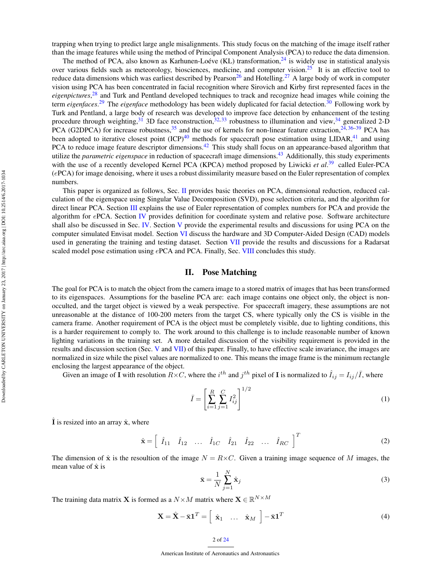trapping when trying to predict large angle misalignments. This study focus on the matching of the image itself rather than the image features while using the method of Principal Component Analysis (PCA) to reduce the data dimension.

The method of PCA, also known as Karhunen-Loéve (KL) transformation, $^{24}$  $^{24}$  $^{24}$  is widely use in statistical analysis over various fields such as meteorology, biosciences, medicine, and computer vision.<sup>[25](#page-22-23)</sup> It is an effective tool to reduce data dimensions which was earliest described by Pearson<sup>[26](#page-22-24)</sup> and Hotelling.<sup>[27](#page-22-25)</sup> A large body of work in computer vision using PCA has been concentrated in facial recognition where Sirovich and Kirby first represented faces in the *eigenpictures*, [28](#page-22-26) and Turk and Pentland developed techniques to track and recognize head images while coining the term *eigenfaces*. [29](#page-22-27) The *eigenface* methodology has been widely duplicated for facial detection.[30](#page-22-28) Following work by Turk and Pentland, a large body of research was developed to improve face detection by enhancement of the testing procedure through weighting, <sup>[31](#page-22-29)</sup> 3D face reconstruction, <sup>[32,](#page-22-30) [33](#page-22-31)</sup> robustness to illumination and view, <sup>[34](#page-22-32)</sup> generalized 2-D PCA (G2DPCA) for increase robustness,  $35$  and the use of kernels for non-linear feature extraction,  $24,36-39$  $24,36-39$  $24,36-39$  PCA has been adopted to iterative closest point  $(ICP)^{40}$  $(ICP)^{40}$  $(ICP)^{40}$  methods for spacecraft pose estimation using LIDAR,<sup>[41](#page-23-1)</sup> and using PCA to reduce image feature descriptor dimensions.<sup>[42](#page-23-2)</sup> This study shall focus on an appearance-based algorithm that utilize the *parametric eigenspace* in reduction of spacecraft image dimensions.[43](#page-23-3) Additionally, this study experiments with the use of a recently developed Kernel PCA (KPCA) method proposed by Liwicki *et al.*<sup>[39](#page-22-35)</sup> called Euler-PCA (ePCA) for image denoising, where it uses a robust dissimilarity measure based on the Euler representation of complex numbers.

This paper is organized as follows, Sec. [II](#page-1-0) provides basic theories on PCA, dimensional reduction, reduced calculation of the eigenspace using Singular Value Decomposition (SVD), pose selection criteria, and the algorithm for direct linear PCA. Section [III](#page-4-0) explains the use of Euler representation of complex numbers for PCA and provide the algorithm for ePCA. Section [IV](#page-7-0) provides definition for coordinate system and relative pose. Software architecture shall also be discussed in Sec. [IV.](#page-7-0) Section [V](#page-10-0) provide the experimental results and discussions for using PCA on the computer simulated Envisat model. Section [VI](#page-15-0) discuss the hardware and 3D Computer-Aided Design (CAD) models used in generating the training and testing dataset. Section [VII](#page-16-0) provide the results and discussions for a Radarsat scaled model pose estimation using ePCA and PCA. Finally, Sec. [VIII](#page-17-0) concludes this study.

#### II. Pose Matching

<span id="page-1-0"></span>The goal for PCA is to match the object from the camera image to a stored matrix of images that has been transformed to its eigenspaces. Assumptions for the baseline PCA are: each image contains one object only, the object is nonocculted, and the target object is viewed by a weak perspective. For spacecraft imagery, these assumptions are not unreasonable at the distance of 100-200 meters from the target CS, where typically only the CS is visible in the camera frame. Another requirement of PCA is the object must be completely visible, due to lighting conditions, this is a harder requirement to comply to. The work around to this challenge is to include reasonable number of known lighting variations in the training set. A more detailed discussion of the visibility requirement is provided in the results and discussion section (Sec. [V](#page-10-0) and [VII\)](#page-16-0) of this paper. Finally, to have effective scale invariance, the images are normalized in size while the pixel values are normalized to one. This means the image frame is the minimum rectangle enclosing the largest appearance of the object.

Given an image of  $\vec{I}$  with resolution  $R \times C$ , where the  $i^{th}$  and  $j^{th}$  pixel of  $\vec{I}$  is normalized to  $\hat{I}_{ij} = I_{ij}/\bar{I}$ , where

<span id="page-1-3"></span>
$$
\bar{I} = \left[ \sum_{i=1}^{R} \sum_{j=1}^{C} I_{ij}^{2} \right]^{1/2} \tag{1}
$$

I is resized into an array  $\hat{\mathbf{x}}$ , where

<span id="page-1-2"></span> $\hat{\mathbf{x}} = \begin{bmatrix} \hat{I}_{11} & \hat{I}_{12} & \dots & \hat{I}_{1C} & \hat{I}_{21} & \hat{I}_{22} & \dots & \hat{I}_{RC} \end{bmatrix}^T$ (2)

The dimension of  $\hat{\mathbf{x}}$  is the resoultion of the image  $N = R \times C$ . Given a training image sequence of M images, the mean value of  $\hat{x}$  is

<span id="page-1-4"></span>
$$
\bar{\mathbf{x}} = \frac{1}{N} \sum_{j=1}^{N} \hat{\mathbf{x}}_j
$$
\n(3)

The training data matrix **X** is formed as a  $N \times M$  matrix where  $\mathbf{X} \in \mathbb{R}^{N \times M}$ 

<span id="page-1-1"></span>
$$
\mathbf{X} = \hat{\mathbf{X}} - \bar{\mathbf{x}} \mathbf{1}^T = \begin{bmatrix} \hat{\mathbf{x}}_1 & \dots & \hat{\mathbf{x}}_M \end{bmatrix} - \bar{\mathbf{x}} \mathbf{1}^T \tag{4}
$$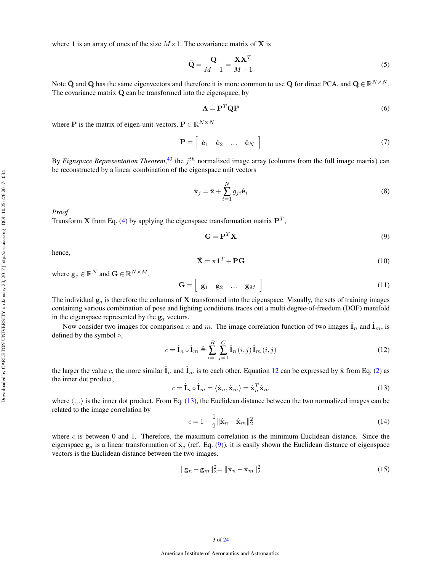where 1 is an array of ones of the size  $M \times 1$ . The covariance matrix of X is

<span id="page-2-5"></span>
$$
\bar{\mathbf{Q}} = \frac{\mathbf{Q}}{M - 1} = \frac{\mathbf{X}\mathbf{X}^T}{M - 1}
$$
\n(5)

Note  $\bar{Q}$  and Q has the same eigenvectors and therefore it is more common to use Q for direct PCA, and  $Q \in \mathbb{R}^{N \times N}$ . The covariance matrix Q can be transformed into the eigenspace, by

<span id="page-2-4"></span>
$$
\Lambda = \mathbf{P}^T \mathbf{Q} \mathbf{P} \tag{6}
$$

where **P** is the matrix of eigen-unit-vectors,  $P \in \mathbb{R}^{N \times N}$ 

$$
\mathbf{P} = \left[ \begin{array}{cccc} \hat{\mathbf{e}}_1 & \hat{\mathbf{e}}_2 & \dots & \hat{\mathbf{e}}_N \end{array} \right] \tag{7}
$$

By *Eignspace Representation Theorem*,<sup>[43](#page-23-3)</sup> the  $j<sup>th</sup>$  normalized image array (columns from the full image matrix) can be reconstructed by a linear combination of the eigenspace unit vectors

<span id="page-2-3"></span>
$$
\hat{\mathbf{x}}_j = \bar{\mathbf{x}} + \sum_{i=1}^N g_{ji} \hat{\mathbf{e}}_i \tag{8}
$$

*Proof*

Transform **X** from Eq. [\(4\)](#page-1-1) by applying the eigenspace transformation matrix  $P<sup>T</sup>$ ,

<span id="page-2-2"></span>
$$
\mathbf{G} = \mathbf{P}^T \mathbf{X} \tag{9}
$$

hence,

$$
\hat{\mathbf{X}} = \bar{\mathbf{x}} \mathbf{1}^T + \mathbf{P} \mathbf{G} \tag{10}
$$

where  $\mathbf{g}_j \in \mathbb{R}^N$  and  $\mathbf{G} \in \mathbb{R}^{N \times M}$ ,

$$
\mathbf{G} = \left[ \begin{array}{cccc} \mathbf{g}_1 & \mathbf{g}_2 & \dots & \mathbf{g}_M \end{array} \right] \tag{11}
$$

The individual  $g_i$  is therefore the columns of X transformed into the eigenspace. Visually, the sets of training images containing various combination of pose and lighting conditions traces out a multi degree-of-freedom (DOF) manifold in the eigenspace represented by the  $g_j$  vectors.

Now consider two images for comparison n and m. The image correlation function of two images  $\hat{\mathbf{I}}_n$  and  $\hat{\mathbf{I}}_m$ , is defined by the symbol  $\circ$ ,

<span id="page-2-0"></span>
$$
c = \hat{\mathbf{I}}_n \circ \hat{\mathbf{I}}_m \triangleq \sum_{i=1}^R \sum_{j=1}^C \hat{\mathbf{I}}_n(i,j) \hat{\mathbf{I}}_m(i,j)
$$
(12)

the larger the value c, the more similar  $\hat{\bf l}_n$  and  $\hat{\bf l}_m$  is to each other. Equation [12](#page-2-0) can be expressed by  $\hat{\bf x}$  from Eq. [\(2\)](#page-1-2) as the inner dot product,

<span id="page-2-1"></span>
$$
c = \hat{\mathbf{I}}_n \circ \hat{\mathbf{I}}_m = \langle \hat{\mathbf{x}}_n, \hat{\mathbf{x}}_m \rangle = \hat{\mathbf{x}}_n^T \hat{\mathbf{x}}_m \tag{13}
$$

where  $\langle .,.\rangle$  is the inner dot product. From Eq. [\(13\)](#page-2-1), the Euclidean distance between the two normalized images can be related to the image correlation by

$$
c = 1 - \frac{1}{2} ||\hat{\mathbf{x}}_n - \hat{\mathbf{x}}_m||_2^2
$$
 (14)

where  $c$  is between 0 and 1. Therefore, the maximum correlation is the minimum Euclidean distance. Since the eigenspace  $g_j$  is a linear transformation of  $\hat{\mathbf{x}}_j$  (ref. Eq. [\(9\)](#page-2-2)), it is easily shown the Euclidean distance of eigenspace vectors is the Euclidean distance between the two images.

$$
\|\mathbf{g}_n - \mathbf{g}_m\|_2^2 = \|\hat{\mathbf{x}}_n - \hat{\mathbf{x}}_m\|_2^2
$$
 (15)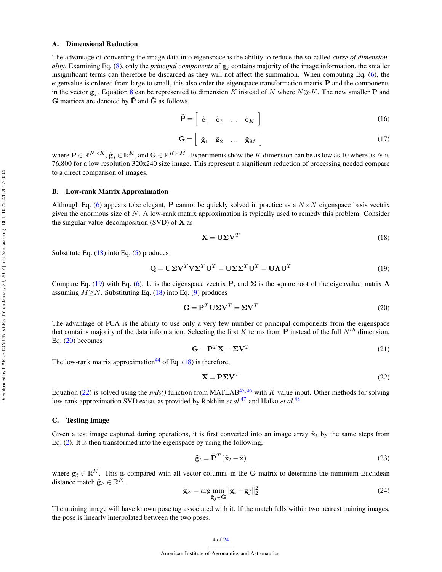#### A. Dimensional Reduction

The advantage of converting the image data into eigenspace is the ability to reduce the so-called *curse of dimensionality*. Examining Eq. [\(8\)](#page-2-3), only the *principal components* of  $g_i$  contains majority of the image information, the smaller insignificant terms can therefore be discarded as they will not affect the summation. When computing Eq. [\(6\)](#page-2-4), the eigenvalue is ordered from large to small, this also order the eigenspace transformation matrix P and the components in the vector  $g_i$ . Equation [8](#page-2-3) can be represented to dimension K instead of N where  $N \gg K$ . The new smaller P and  **matrices are denoted by**  $\tilde{\bf{P}}$  **and**  $\tilde{\bf{G}}$  **as follows,** 

$$
\tilde{\mathbf{P}} = \left[ \begin{array}{cccc} \hat{\mathbf{e}}_1 & \hat{\mathbf{e}}_2 & \dots & \hat{\mathbf{e}}_K \end{array} \right] \tag{16}
$$

$$
\tilde{\mathbf{G}} = \left[ \begin{array}{cccc} \tilde{\mathbf{g}}_1 & \tilde{\mathbf{g}}_2 & \dots & \tilde{\mathbf{g}}_M \end{array} \right] \tag{17}
$$

where  $\tilde{\mathbf{P}} \in \mathbb{R}^{N \times K}$ ,  $\tilde{\mathbf{g}}_j \in \mathbb{R}^K$ , and  $\tilde{\mathbf{G}} \in \mathbb{R}^{K \times M}$ . Experiments show the K dimension can be as low as 10 where as N is 76,800 for a low resolution 320x240 size image. This represent a significant reduction of processing needed compare to a direct comparison of images.

#### B. Low-rank Matrix Approximation

Although Eq. [\(6\)](#page-2-4) appears tobe elegant, P cannot be quickly solved in practice as a  $N \times N$  eigenspace basis vectrix given the enormous size of  $N$ . A low-rank matrix approximation is typically used to remedy this problem. Consider the singular-value-decomposition (SVD) of  $X$  as

<span id="page-3-0"></span>
$$
\mathbf{X} = \mathbf{U} \mathbf{\Sigma} \mathbf{V}^T \tag{18}
$$

Substitute Eq.  $(18)$  into Eq.  $(5)$  produces

<span id="page-3-1"></span>
$$
\mathbf{Q} = \mathbf{U} \Sigma \mathbf{V}^T \mathbf{V} \Sigma^T \mathbf{U}^T = \mathbf{U} \Sigma \Sigma^T \mathbf{U}^T = \mathbf{U} \mathbf{\Lambda} \mathbf{U}^T
$$
\n(19)

Compare Eq. [\(19\)](#page-3-1) with Eq. [\(6\)](#page-2-4), U is the eigenspace vectrix P, and  $\Sigma$  is the square root of the eigenvalue matrix  $\Lambda$ assuming  $M \geq N$ . Substituting Eq. [\(18\)](#page-3-0) into Eq. [\(9\)](#page-2-2) produces

<span id="page-3-2"></span>
$$
\mathbf{G} = \mathbf{P}^T \mathbf{U} \Sigma \mathbf{V}^T = \Sigma \mathbf{V}^T \tag{20}
$$

The advantage of PCA is the ability to use only a very few number of principal components from the eigenspace that contains majority of the data information. Selecting the first K terms from **P** instead of the full  $N^{th}$  dimension, Eq. [\(20\)](#page-3-2) becomes

<span id="page-3-4"></span>
$$
\tilde{\mathbf{G}} = \tilde{\mathbf{P}}^T \mathbf{X} = \tilde{\mathbf{\Sigma}} \mathbf{V}^T
$$
 (21)

The low-rank matrix approximation<sup>[44](#page-23-4)</sup> of Eq.  $(18)$  is therefore,

<span id="page-3-3"></span>
$$
\mathbf{X} = \tilde{\mathbf{P}} \tilde{\mathbf{\Sigma}} \mathbf{V}^T \tag{22}
$$

Equation [\(22\)](#page-3-3) is solved using the *svds*() function from MATLAB<sup>[45,](#page-23-5)[46](#page-23-6)</sup> with K value input. Other methods for solving low-rank approximation SVD exists as provided by Rokhlin *et al*.<sup>[47](#page-23-7)</sup> and Halko *et al.*<sup>[48](#page-23-8)</sup>

## C. Testing Image

Given a test image captured during operations, it is first converted into an image array  $\hat{\mathbf{x}}_t$  by the same steps from Eq. [\(2\)](#page-1-2). It is then transformed into the eigenspace by using the following,

<span id="page-3-5"></span>
$$
\tilde{\mathbf{g}}_t = \tilde{\mathbf{P}}^T \left( \hat{\mathbf{x}}_t - \bar{\mathbf{x}} \right) \tag{23}
$$

where  $\tilde{\mathbf{g}}_t \in \mathbb{R}^K$ . This is compared with all vector columns in the  $\tilde{\mathbf{G}}$  matrix to determine the minimum Euclidean distance match  $\tilde{\mathbf{g}}_w \in \mathbb{R}^K$ .

<span id="page-3-6"></span>
$$
\tilde{\mathbf{g}}_{\wedge} = \arg\min_{\tilde{\mathbf{g}}_j \in \tilde{\mathbf{G}}} \|\tilde{\mathbf{g}}_t - \tilde{\mathbf{g}}_j\|_2^2
$$
\n(24)

The training image will have known pose tag associated with it. If the match falls within two nearest training images, the pose is linearly interpolated between the two poses.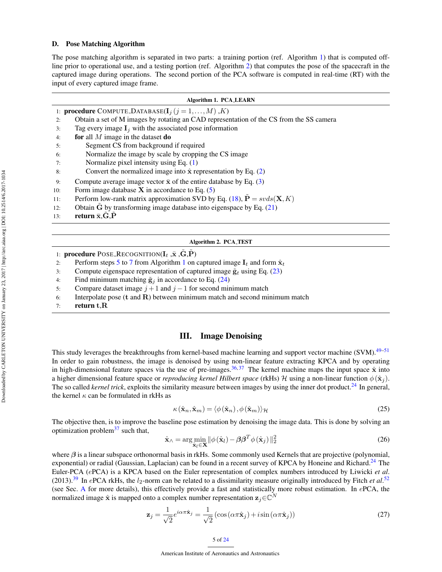#### D. Pose Matching Algorithm

The pose matching algorithm is separated in two parts: a training portion (ref. Algorithm [1\)](#page-4-1) that is computed offline prior to operational use, and a testing portion (ref. Algorithm [2\)](#page-4-2) that computes the pose of the spacecraft in the captured image during operations. The second portion of the PCA software is computed in real-time (RT) with the input of every captured image frame.

|     | <b>Algorithm 1. PCA_LEARN</b>                                                           |  |  |  |  |  |
|-----|-----------------------------------------------------------------------------------------|--|--|--|--|--|
|     | 1: <b>procedure</b> COMPUTE_DATABASE( $I_i$ ( $j = 1, , M$ ), K)                        |  |  |  |  |  |
| 2:  | Obtain a set of M images by rotating an CAD representation of the CS from the SS camera |  |  |  |  |  |
| 3:  | Tag every image $I_i$ with the associated pose information                              |  |  |  |  |  |
| 4:  | for all $M$ image in the dataset do                                                     |  |  |  |  |  |
| 5:  | Segment CS from background if required                                                  |  |  |  |  |  |
| 6:  | Normalize the image by scale by cropping the CS image                                   |  |  |  |  |  |
| 7:  | Normalize pixel intensity using Eq. (1)                                                 |  |  |  |  |  |
| 8:  | Convert the normalized image into $\hat{x}$ representation by Eq. (2)                   |  |  |  |  |  |
| 9:  | Compute average image vector $\bar{x}$ of the entire database by Eq. (3)                |  |  |  |  |  |
| 10: | Form image database $X$ in accordance to Eq. $(5)$                                      |  |  |  |  |  |
| 11: | Perform low-rank matrix approximation SVD by Eq. (18), $\tilde{P} = s\nu ds(X, K)$      |  |  |  |  |  |
| 12: | Obtain $\tilde{G}$ by transforming image database into eigenspace by Eq. (21)           |  |  |  |  |  |
| 13: | return $\bar{x}$ , G, P                                                                 |  |  |  |  |  |
|     |                                                                                         |  |  |  |  |  |
|     |                                                                                         |  |  |  |  |  |

#### <span id="page-4-2"></span><span id="page-4-1"></span>Algorithm 2. PCA TEST

- 1: **procedure** POSE RECOGNITION( $\mathbf{I}_t$ ,  $\bar{\mathbf{x}}$ ,  $\tilde{\mathbf{G}}$ ,  $\tilde{\mathbf{P}}$ )
- 2: Perform steps [5](#page-4-1) to [7](#page-4-1) from Algorithm [1](#page-4-1) on captured image  $I_t$  and form  $\hat{\mathbf{x}}_t$
- 3: Compute eigenspace representation of captured image  $\tilde{\mathbf{g}}_t$  using Eq. [\(23\)](#page-3-5)
- 4: Find minimum matching  $\tilde{\mathbf{g}}_j$  in accordance to Eq. [\(24\)](#page-3-6)
- 5: Compare dataset image  $j + 1$  and  $j 1$  for second minimum match
- 6: Interpolate pose  $(t \text{ and } R)$  between minimum match and second minimum match
- 7: return t,R

# III. Image Denoising

<span id="page-4-0"></span>This study leverages the breakthroughs from kernel-based machine learning and support vector machine (SVM).<sup>[49](#page-23-9)[–51](#page-23-10)</sup> In order to gain robustness, the image is denoised by using non-linear feature extracting KPCA and by operating in high-dimensional feature spaces via the use of pre-images.<sup>[36,](#page-22-34) [37](#page-22-37)</sup> The kernel machine maps the input space  $\hat{x}$  into a higher dimensional feature space or *reproducing kernel Hilbert space* (rkHs) H using a non-linear function  $\phi(\hat{\mathbf{x}}_i)$ . The so called *kernel trick*, exploits the similarity measure between images by using the inner dot product.<sup>[24](#page-22-22)</sup> In general, the kernel  $\kappa$  can be formulated in rkHs as

$$
\kappa(\hat{\mathbf{x}}_n, \hat{\mathbf{x}}_m) = \langle \phi(\hat{\mathbf{x}}_n), \phi(\hat{\mathbf{x}}_m) \rangle_{\mathcal{H}}
$$
(25)

The objective then, is to improve the baseline pose estimation by denoising the image data. This is done by solving an optimization problem $37$  such that,

<span id="page-4-3"></span>
$$
\hat{\mathbf{x}}_{\wedge} = \arg\min_{\hat{\mathbf{x}}_l \in \mathbf{X}} \|\phi(\hat{\mathbf{x}}_l) - \beta \beta^T \phi(\hat{\mathbf{x}}_j)\|_2^2
$$
\n(26)

where  $\beta$  is a linear subspace orthonormal basis in rkHs. Some commonly used Kernels that are projective (polynomial, exponential) or radial (Gaussian, Laplacian) can be found in a recent survey of KPCA by Honeine and Richard.<sup>[24](#page-22-22)</sup> The Euler-PCA (ePCA) is a KPCA based on the Euler representation of complex numbers introduced by Liwicki *et al*.  $(2013).$ <sup>[39](#page-22-35)</sup> In ePCA rkHs, the  $l_2$ -norm can be related to a dissimilarity measure originally introduced by Fitch *et al.*<sup>[52](#page-23-11)</sup> (see Sec. [A](#page-5-0) for more details), this effectively provide a fast and statistically more robust estimation. In ePCA, the normalized image  $\hat{x}$  is mapped onto a complex number representation  $z_j \in \mathbb{C}^N$ 

<span id="page-4-4"></span>
$$
\mathbf{z}_{j} = \frac{1}{\sqrt{2}} e^{i\alpha \pi \hat{\mathbf{x}}_{j}} = \frac{1}{\sqrt{2}} \left( \cos \left( \alpha \pi \hat{\mathbf{x}}_{j} \right) + i \sin \left( \alpha \pi \hat{\mathbf{x}}_{j} \right) \right)
$$
(27)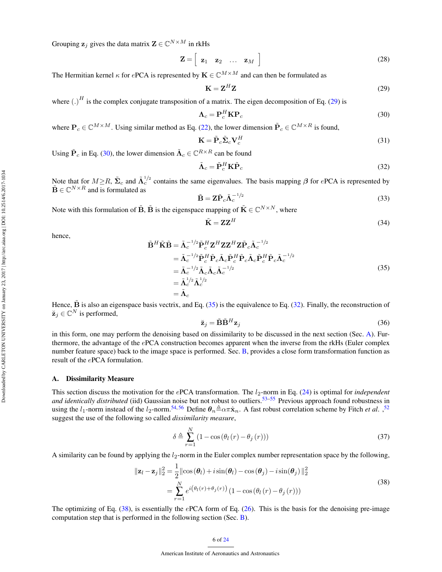Grouping  $\mathbf{z}_j$  gives the data matrix  $\mathbf{Z} \in \mathbb{C}^{N \times M}$  in rkHs

<span id="page-5-7"></span>
$$
\mathbf{Z} = \left[ \begin{array}{cccc} \mathbf{z}_1 & \mathbf{z}_2 & \dots & \mathbf{z}_M \end{array} \right] \tag{28}
$$

The Hermitian kernel  $\kappa$  for ePCA is represented by  $\mathbf{K} \in \mathbb{C}^{M \times M}$  and can then be formulated as

<span id="page-5-1"></span>
$$
\mathbf{K} = \mathbf{Z}^H \mathbf{Z} \tag{29}
$$

where  $(.)^H$  is the complex conjugate transposition of a matrix. The eigen decomposition of Eq. [\(29\)](#page-5-1) is

<span id="page-5-2"></span>
$$
\Lambda_c = \mathbf{P}_c^H \mathbf{K} \mathbf{P}_c \tag{30}
$$

where  $P_c \in \mathbb{C}^{M \times M}$ . Using similar method as Eq. [\(22\)](#page-3-3), the lower dimension  $\tilde{P}_c \in \mathbb{C}^{M \times R}$  is found,

$$
\mathbf{K} = \tilde{\mathbf{P}}_c \tilde{\mathbf{\Sigma}}_c \mathbf{V}_c^H
$$
 (31)

Using  $\tilde{\mathbf{P}}_c$  in Eq. [\(30\)](#page-5-2), the lower dimension  $\tilde{\mathbf{\Lambda}}_c \in \mathbb{C}^{R \times R}$  can be found

<span id="page-5-4"></span>
$$
\tilde{\mathbf{\Lambda}}_c = \tilde{\mathbf{P}}_c^H \mathbf{K} \tilde{\mathbf{P}}_c \tag{32}
$$

Note that for  $M \ge R$ ,  $\tilde{\Sigma}_c$  and  $\tilde{\Lambda}_c^{1/2}$  contains the same eigenvalues. The basis mapping  $\beta$  for ePCA is represented by  $\tilde{\mathbf{B}} \in \mathbb{C}^{N \times R}$  and is formulated as

<span id="page-5-8"></span>
$$
\tilde{\mathbf{B}} = \mathbf{Z}\tilde{\mathbf{P}}_c \tilde{\mathbf{\Lambda}}_c^{-1/2} \tag{33}
$$

Note with this formulation of  $\tilde{\mathbf{B}}$ ,  $\tilde{\mathbf{B}}$  is the eigenspace mapping of  $\tilde{\mathbf{K}} \in \mathbb{C}^{N \times N}$ , where

$$
\tilde{\mathbf{K}} = \mathbf{Z} \mathbf{Z}^H \tag{34}
$$

hence,

<span id="page-5-3"></span>
$$
\tilde{\mathbf{B}}^H \tilde{\mathbf{K}} \tilde{\mathbf{B}} = \tilde{\mathbf{\Lambda}}_c^{-1/2} \tilde{\mathbf{P}}_c^H \mathbf{Z}^H \mathbf{Z} \mathbf{Z}^H \mathbf{Z} \tilde{\mathbf{P}}_c \tilde{\mathbf{\Lambda}}_c^{-1/2} \n= \tilde{\mathbf{\Lambda}}_c^{-1/2} \tilde{\mathbf{P}}_c^H \tilde{\mathbf{P}}_c \tilde{\mathbf{\Lambda}}_c \tilde{\mathbf{P}}_c^H \tilde{\mathbf{P}}_c \tilde{\mathbf{\Lambda}}_c \tilde{\mathbf{P}}_c^H \tilde{\mathbf{P}}_c \tilde{\mathbf{\Lambda}}_c^{-1/2} \n= \tilde{\mathbf{\Lambda}}_c^{-1/2} \tilde{\mathbf{\Lambda}}_c \tilde{\mathbf{\Lambda}}_c \tilde{\mathbf{\Lambda}}_c^{-1/2} \n= \tilde{\mathbf{\Lambda}}_c^{1/2} \tilde{\mathbf{\Lambda}}_c^{1/2} \n= \tilde{\mathbf{\Lambda}}_c
$$
\n(35)

Hence,  $\tilde{B}$  is also an eigenspace basis vectrix, and Eq. [\(35\)](#page-5-3) is the equivalence to Eq. [\(32\)](#page-5-4). Finally, the reconstruction of  $\breve{\mathbf{z}}_j \in \mathbb{C}^N$  is performed,

<span id="page-5-6"></span>
$$
\breve{\mathbf{z}}_j = \tilde{\mathbf{B}} \tilde{\mathbf{B}}^H \mathbf{z}_j \tag{36}
$$

in this form, one may perform the denoising based on dissimilarity to be discussed in the next section (Sec. [A\)](#page-5-0). Furthermore, the advantage of the ePCA construction becomes apparent when the inverse from the rkHs (Euler complex number feature space) back to the image space is performed. Sec. [B,](#page-6-0) provides a close form transformation function as result of the ePCA formulation.

#### <span id="page-5-0"></span>A. Dissimilarity Measure

This section discuss the motivation for the ePCA transformation. The  $l_2$ -norm in Eq. [\(24\)](#page-3-6) is optimal for *independent and identically distributed* (iid) Gaussian noise but not robust to outliers.<sup>[53–](#page-23-12)[55](#page-23-13)</sup> Previous approach found robustness in using the  $l_1$ -norm instead of the  $l_2$ -norm.<sup>[54,](#page-23-14)[56](#page-23-15)</sup> Define  $\theta_n \triangleq \alpha \pi \hat{x}_n$ . A fast robust correlation scheme by Fitch *et al.* ,<sup>[52](#page-23-11)</sup> suggest the use of the following so called *dissimilarity measure*,

$$
\delta \triangleq \sum_{r=1}^{N} \left( 1 - \cos\left(\theta_l\left(r\right) - \theta_j\left(r\right)\right) \right) \tag{37}
$$

A similarity can be found by applying the  $l_2$ -norm in the Euler complex number representation space by the following,

<span id="page-5-5"></span>
$$
\|\mathbf{z}_{l} - \mathbf{z}_{j}\|_{2}^{2} = \frac{1}{2} \|\cos(\theta_{l}) + i\sin(\theta_{l}) - \cos(\theta_{j}) - i\sin(\theta_{j})\|_{2}^{2}
$$
  

$$
= \sum_{r=1}^{N} e^{i(\theta_{l}(r) + \theta_{j}(r))} (1 - \cos(\theta_{l}(r) - \theta_{j}(r)))
$$
 (38)

The optimizing of Eq.  $(38)$ , is essentially the ePCA form of Eq.  $(26)$ . This is the basis for the denoising pre-image computation step that is performed in the following section (Sec. [B\)](#page-6-0).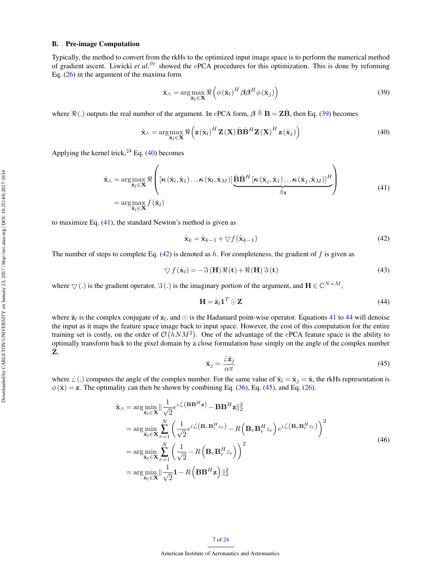# <span id="page-6-0"></span>B. Pre-image Computation

Typically, the method to convert from the rkHs to the optimized input image space is to perform the numerical method of gradient ascent. Liwicki *et al*. [39](#page-22-35) showed the ePCA procedures for this optimization. This is done by reforming Eq. [\(26\)](#page-4-3) in the argument of the maxima form

<span id="page-6-1"></span>
$$
\hat{\mathbf{x}}_{\wedge} = \arg\max_{\hat{\mathbf{x}}_l \in \mathbf{X}} \Re \left( \phi(\hat{\mathbf{x}}_l)^H \beta \beta^H \phi(\hat{\mathbf{x}}_j) \right)
$$
(39)

where  $\Re(.)$  outputs the real number of the argument. In ePCA form,  $\beta \triangleq B = Z\hat{B}$ , then Eq. [\(39\)](#page-6-1) becomes

<span id="page-6-2"></span>
$$
\hat{\mathbf{x}}_{\wedge} = \arg \max_{\hat{\mathbf{x}}_l \in \mathbf{X}} \Re \left( \mathbf{z}(\hat{\mathbf{x}}_l)^H \mathbf{Z}(\mathbf{X}) \hat{\mathbf{B}} \hat{\mathbf{B}}^H \mathbf{Z}(\mathbf{X})^H \mathbf{z}(\hat{\mathbf{x}}_j) \right)
$$
(40)

Applying the kernel trick,  $^{24}$  $^{24}$  $^{24}$  Eq. [\(40\)](#page-6-2) becomes

<span id="page-6-3"></span>
$$
\hat{\mathbf{x}}_{\wedge} = \arg \max_{\hat{\mathbf{x}}_l \in \mathbf{X}} \Re \left( [\kappa(\hat{\mathbf{x}}_l, \hat{\mathbf{x}}_1) \dots \kappa(\hat{\mathbf{x}}_l, \hat{\mathbf{x}}_M)] \underbrace{\hat{\mathbf{B}} \hat{\mathbf{B}}^H [\kappa(\hat{\mathbf{x}}_j, \hat{\mathbf{x}}_1) \dots \kappa(\hat{\mathbf{x}}_j, \hat{\mathbf{x}}_M)]^H}_{\hat{=}\mathbf{t}} \right)
$$
\n
$$
= \arg \max_{\hat{\mathbf{x}}_l \in \mathbf{X}} f(\hat{\mathbf{x}}_l)
$$
\n(41)

to maximize Eq. [\(41\)](#page-6-3), the standard Newton's method is given as

<span id="page-6-4"></span>
$$
\hat{\mathbf{x}}_k = \hat{\mathbf{x}}_{k-1} + \nabla f\left(\hat{\mathbf{x}}_{k-1}\right) \tag{42}
$$

The number of steps to complete Eq.  $(42)$  is denoted as h. For completeness, the gradient of f is given as

$$
\nabla f(\hat{\mathbf{x}}_l) = -\Im(\mathbf{H})\Re(\mathbf{t}) + \Re(\mathbf{H})\Im(\mathbf{t})
$$
\n(43)

where  $\bigtriangledown(.)$  is the gradient operator,  $\Im(.)$  is the imaginary portion of the argument, and  $\mathbf{H} \in \mathbb{C}^{N \times M}$ ,

<span id="page-6-5"></span>
$$
\mathbf{H} = \bar{\mathbf{z}}_l \mathbf{1}^T \odot \mathbf{Z} \tag{44}
$$

where  $\bar{z}_l$  is the complex conjugate of  $z_l$ , and  $\odot$  is the Hadamard point-wise operator. Equations [41](#page-6-3) to [44](#page-6-5) will denoise the input as it maps the feature space image back to input space. However, the cost of this computation for the entire training set is costly, on the order of  $\mathcal{O}(hNM^2)$ . One of the advantage of the ePCA feature space is the ability to optimally transform back to the pixel domain by a close formulation base simply on the angle of the complex number  $\check{\mathbf{Z}}$ 

<span id="page-6-6"></span>
$$
\breve{\mathbf{x}}_j = \frac{\angle \breve{\mathbf{z}}_j}{\alpha \pi} \tag{45}
$$

where  $\angle$  (.) computes the angle of the complex number. For the same value of  $\hat{\mathbf{x}}_l = \hat{\mathbf{x}}_j = \hat{\mathbf{x}}$ , the rkHs representation is  $\phi(\hat{\mathbf{x}}) = \mathbf{z}$ . The optimality can then be shown by combining Eq. [\(36\)](#page-5-6), Eq. [\(45\)](#page-6-6), and Eq. [\(26\)](#page-4-3).

<span id="page-6-7"></span>
$$
\hat{\mathbf{x}}_{\wedge} = \arg\min_{\hat{\mathbf{x}}_l \in \mathbf{X}} \left\| \frac{1}{\sqrt{2}} e^{i\angle(\mathbf{B}\mathbf{B}^H \mathbf{z})} - \mathbf{B} \mathbf{B}^H \mathbf{z} \right\|_2^2
$$
\n
$$
= \arg\min_{\hat{\mathbf{x}}_l \in \mathbf{X}} \sum_{r=1}^N \left( \frac{1}{\sqrt{2}} e^{i\angle(\mathbf{B}_r \mathbf{B}_r^H z_r)} - R\left(\mathbf{B}_r \mathbf{B}_r^H z_r\right) e^{i\angle(\mathbf{B}_r \mathbf{B}_r^H z_r)} \right)^2
$$
\n
$$
= \arg\min_{\hat{\mathbf{x}}_l \in \mathbf{X}} \sum_{r=1}^N \left( \frac{1}{\sqrt{2}} - R\left(\mathbf{B}_r \mathbf{B}_r^H z_r\right) \right)^2
$$
\n
$$
= \arg\min_{\hat{\mathbf{x}}_l \in \mathbf{X}} \left\| \frac{1}{\sqrt{2}} \mathbf{1} - R\left(\mathbf{B} \mathbf{B}^H \mathbf{z}\right) \right\|_2^2
$$
\n(46)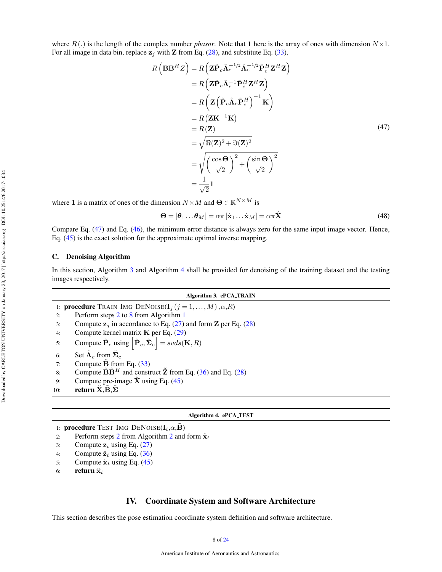where  $R(.)$  is the length of the complex number *phasor*. Note that 1 here is the array of ones with dimension  $N \times 1$ . For all image in data bin, replace  $z_i$  with Z from Eq. [\(28\)](#page-5-7), and substitute Eq. [\(33\)](#page-5-8),

<span id="page-7-1"></span>
$$
R\left(\mathbf{B}\mathbf{B}^{H}Z\right) = R\left(\mathbf{Z}\tilde{\mathbf{P}}_{c}\tilde{\mathbf{\Lambda}}_{c}^{-1/2}\tilde{\mathbf{\Lambda}}_{c}^{-1/2}\tilde{\mathbf{P}}_{c}^{H}\mathbf{Z}^{H}\mathbf{Z}\right)
$$
  
\n
$$
= R\left(\mathbf{Z}\tilde{\mathbf{P}}_{c}\tilde{\mathbf{\Lambda}}_{c}^{-1}\tilde{\mathbf{P}}_{c}^{H}\mathbf{Z}^{H}\mathbf{Z}\right)
$$
  
\n
$$
= R\left(\mathbf{Z}\left(\tilde{\mathbf{P}}_{c}\tilde{\mathbf{\Lambda}}_{c}\tilde{\mathbf{P}}_{c}^{H}\right)^{-1}\mathbf{K}\right)
$$
  
\n
$$
= R\left(\mathbf{Z}\mathbf{K}^{-1}\mathbf{K}\right)
$$
  
\n
$$
= R(\mathbf{Z})
$$
  
\n
$$
= \sqrt{\Re(\mathbf{Z})^{2} + \Im(\mathbf{Z})^{2}}
$$
  
\n
$$
= \sqrt{\left(\frac{\cos\Theta}{\sqrt{2}}\right)^{2} + \left(\frac{\sin\Theta}{\sqrt{2}}\right)^{2}}
$$
  
\n
$$
= \frac{1}{\sqrt{2}}\mathbf{1}
$$
  
\n(47)

where 1 is a matrix of ones of the dimension  $N \times M$  and  $\Theta \in \mathbb{R}^{N \times M}$  is

<span id="page-7-2"></span>
$$
\mathbf{\Theta} = [\boldsymbol{\theta}_1 \dots \boldsymbol{\theta}_M] = \alpha \pi [\hat{\mathbf{x}}_1 \dots \hat{\mathbf{x}}_M] = \alpha \pi \hat{\mathbf{X}} \tag{48}
$$

Compare Eq. [\(47\)](#page-7-1) and Eq. [\(46\)](#page-6-7), the minimum error distance is always zero for the same input image vector. Hence, Eq. [\(45\)](#page-6-6) is the exact solution for the approximate optimal inverse mapping.

#### C. Denoising Algorithm

In this section, Algorithm [3](#page-7-2) and Algorithm [4](#page-7-3) shall be provided for denoising of the training dataset and the testing images respectively.

|     | Algorithm 3. ePCA_TRAIN                                                                                                      |  |  |  |  |
|-----|------------------------------------------------------------------------------------------------------------------------------|--|--|--|--|
|     | 1: <b>procedure</b> TRAIN_IMG_DENOISE( $I_i$ ( $j = 1,,M$ ), $\alpha$ , $R$ )                                                |  |  |  |  |
| 2:  | Perform steps 2 to 8 from Algorithm 1                                                                                        |  |  |  |  |
| 3:  | Compute $z_i$ in accordance to Eq. (27) and form <b>Z</b> per Eq. (28)                                                       |  |  |  |  |
| 4:  | Compute kernel matrix $K$ per Eq. (29)                                                                                       |  |  |  |  |
| 5:  | Compute $\tilde{\mathbf{P}}_c$ using $\left[\tilde{\mathbf{P}}_c, \tilde{\mathbf{\Sigma}}_c\right] = s\nu ds(\mathbf{K}, R)$ |  |  |  |  |
| 6:  | Set $\tilde{\Lambda}_c$ from $\tilde{\Sigma}_c$                                                                              |  |  |  |  |
| 7:  | Compute $B$ from Eq. $(33)$                                                                                                  |  |  |  |  |
| 8:  | Compute $\tilde{\mathbf{B}}\tilde{\mathbf{B}}^H$ and construct $\tilde{\mathbf{Z}}$ from Eq. (36) and Eq. (28)               |  |  |  |  |
| 9:  | Compute pre-image $\bar{X}$ using Eq. (45)                                                                                   |  |  |  |  |
| 10: | return $\check{X}, \check{B}, \tilde{\Sigma}$                                                                                |  |  |  |  |
|     |                                                                                                                              |  |  |  |  |
|     | Algorithm 4. ePCA_TEST                                                                                                       |  |  |  |  |
|     | 1: <b>procedure</b> TEST_IMG_DENOISE( $\mathbf{I}_t, \alpha, \tilde{\mathbf{B}}$ )                                           |  |  |  |  |
| 2:  | Perform steps 2 from Algorithm 2 and form $\hat{\mathbf{x}}_t$                                                               |  |  |  |  |

- 3: Compute  $z_t$  using Eq. [\(27\)](#page-4-4)
- 4: Compute  $\ddot{z}_t$  using Eq. [\(36\)](#page-5-6)
- 5: Compute  $\ddot{x}_t$  using Eq. [\(45\)](#page-6-6)
- 6: return  $\breve{\mathbf{x}}_t$

#### <span id="page-7-3"></span>IV. Coordinate System and Software Architecture

<span id="page-7-0"></span>This section describes the pose estimation coordinate system definition and software architecture.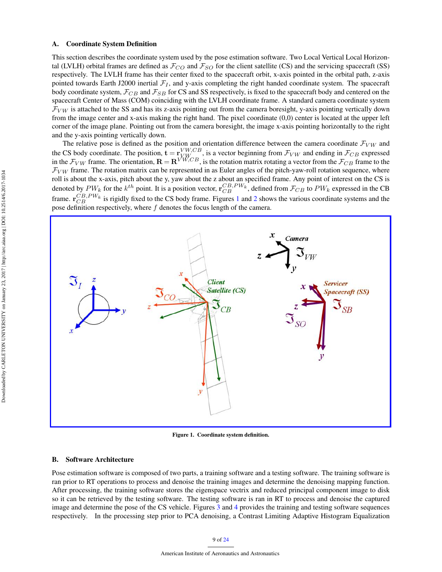#### A. Coordinate System Definition

This section describes the coordinate system used by the pose estimation software. Two Local Vertical Local Horizontal (LVLH) orbital frames are defined as  $\mathcal{F}_{CO}$  and  $\mathcal{F}_{SO}$  for the client satellite (CS) and the servicing spacecraft (SS) respectively. The LVLH frame has their center fixed to the spacecraft orbit, x-axis pointed in the orbital path, z-axis pointed towards Earth J2000 inertial  $\mathcal{F}_I$ , and y-axis completing the right handed coordinate system. The spacecraft body coordinate system,  $\mathcal{F}_{CB}$  and  $\mathcal{F}_{SB}$  for CS and SS respectively, is fixed to the spacecraft body and centered on the spacecraft Center of Mass (COM) coinciding with the LVLH coordinate frame. A standard camera coordinate system  $\mathcal{F}_{VW}$  is attached to the SS and has its z-axis pointing out from the camera boresight, y-axis pointing vertically down from the image center and x-axis making the right hand. The pixel coordinate (0,0) center is located at the upper left corner of the image plane. Pointing out from the camera boresight, the image x-axis pointing horizontally to the right and the y-axis pointing vertically down.

The relative pose is defined as the position and orientation difference between the camera coordinate  $\mathcal{F}_{VW}$  and the CS body coordinate. The position,  $\mathbf{t} = \mathbf{r}_{V,W\subset B}^{VW,CB}$ , is a vector beginning from  $\mathcal{F}_{VW}$  and ending in  $\mathcal{F}_{CB}$  expressed in the  $F_{VW}$  frame. The orientation,  $\mathbf{R} = \mathbf{R}^{VW, CB}$ , is the rotation matrix rotating a vector from the  $F_{CB}$  frame to the  $F_{VW}$  frame. The rotation matrix can be represented in as Euler angles of the pitch-yaw-roll rotation sequence, where roll is about the x-axis, pitch about the y, yaw about the z about an specified frame. Any point of interest on the CS is denoted by  $PW_k$  for the  $k^{th}$  point. It is a position vector,  $\mathbf{r}_{CB}^{CB,PW_k}$ , defined from  $\mathcal{F}_{CB}$  to  $PW_k$  expressed in the CB frame.  $r_{CB}^{CB,PW_k}$  is rigidly fixed to the CS body frame. Figures [1](#page-8-0) and [2](#page-9-0) shows the various coordinate systems and the pose definition respectively, where  $f$  denotes the focus length of the camera.



<span id="page-8-0"></span>Figure 1. Coordinate system definition.

#### B. Software Architecture

Pose estimation software is composed of two parts, a training software and a testing software. The training software is ran prior to RT operations to process and denoise the training images and determine the denoising mapping function. After processing, the training software stores the eigenspace vectrix and reduced principal component image to disk so it can be retrieved by the testing software. The testing software is ran in RT to process and denoise the captured image and determine the pose of the CS vehicle. Figures [3](#page-9-1) and [4](#page-9-2) provides the training and testing software sequences respectively. In the processing step prior to PCA denoising, a Contrast Limiting Adaptive Histogram Equalization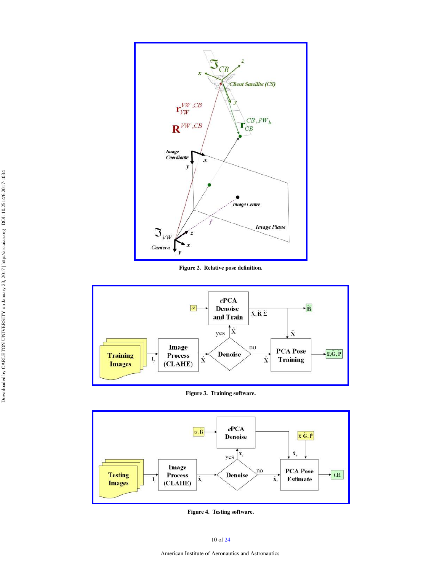

<span id="page-9-0"></span>Figure 2. Relative pose definition.



<span id="page-9-1"></span>Figure 3. Training software.



<span id="page-9-2"></span>Figure 4. Testing software.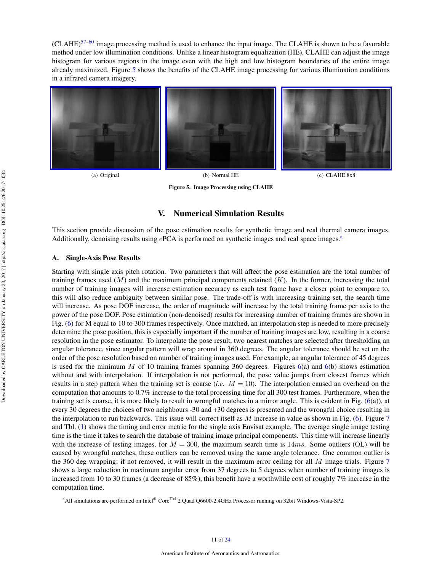$(CLAHE)^{57-60}$  $(CLAHE)^{57-60}$  $(CLAHE)^{57-60}$  image processing method is used to enhance the input image. The CLAHE is shown to be a favorable method under low illumination conditions. Unlike a linear histogram equalization (HE), CLAHE can adjust the image histogram for various regions in the image even with the high and low histogram boundaries of the entire image already maximized. Figure [5](#page-10-1) shows the benefits of the CLAHE image processing for various illumination conditions in a infrared camera imagery.



(a) Original (b) Normal HE (c) CLAHE 8x8



Figure 5. Image Processing using CLAHE

# <span id="page-10-1"></span>V. Numerical Simulation Results

<span id="page-10-0"></span>This section provide discussion of the pose estimation results for synthetic image and real thermal camera images. Addition[a](#page-10-2)lly, denoising results using  $ePCA$  is performed on synthetic images and real space images. $a$ 

#### <span id="page-10-3"></span>A. Single-Axis Pose Results

Starting with single axis pitch rotation. Two parameters that will affect the pose estimation are the total number of training frames used  $(M)$  and the maximum principal components retained  $(K)$ . In the former, increasing the total number of training images will increase estimation accuracy as each test frame have a closer point to compare to, this will also reduce ambiguity between similar pose. The trade-off is with increasing training set, the search time will increase. As pose DOF increase, the order of magnitude will increase by the total training frame per axis to the power of the pose DOF. Pose estimation (non-denoised) results for increasing number of training frames are shown in Fig. [\(6\)](#page-11-0) for M equal to 10 to 300 frames respectively. Once matched, an interpolation step is needed to more precisely determine the pose position, this is especially important if the number of training images are low, resulting in a coarse resolution in the pose estimator. To interpolate the pose result, two nearest matches are selected after thresholding an angular tolerance, since angular pattern will wrap around in 360 degrees. The angular tolerance should be set on the order of the pose resolution based on number of training images used. For example, an angular tolerance of 45 degrees is used for the minimum M of 10 training frames spanning 360 degrees. Figures  $6(a)$  $6(a)$  and  $6(b)$  shows estimation without and with interpolation. If interpolation is not performed, the pose value jumps from closest frames which results in a step pattern when the training set is coarse (*i.e*. M = 10). The interpolation caused an overhead on the computation that amounts to 0.7% increase to the total processing time for all 300 test frames. Furthermore, when the training set is coarse, it is more likely to result in wrongful matches in a mirror angle. This is evident in Fig.  $(6(a))$  $(6(a))$ , at every 30 degrees the choices of two neighbours -30 and +30 degrees is presented and the wrongful choice resulting in the interpolation to run backwards. This issue will correct itself as  $M$  increase in value as shown in Fig. [\(6\)](#page-11-0). Figure [7](#page-12-0) and Tbl. [\(1\)](#page-11-1) shows the timing and error metric for the single axis Envisat example. The average single image testing time is the time it takes to search the database of training image principal components. This time will increase linearly with the increase of testing images, for  $M = 300$ , the maximum search time is 14ms. Some outliers (OL) will be caused by wrongful matches, these outliers can be removed using the same angle tolerance. One common outlier is the 360 deg wrapping; if not removed, it will result in the maximum error ceiling for all  $M$  image trials. Figure [7](#page-12-0) shows a large reduction in maximum angular error from 37 degrees to 5 degrees when number of training images is increased from 10 to 30 frames (a decrease of 85%), this benefit have a worthwhile cost of roughly 7% increase in the computation time.

<span id="page-10-2"></span><sup>&</sup>lt;sup>a</sup>All simulations are performed on Intel® Core<sup>TM</sup> 2 Quad Q6600-2.4GHz Processor running on 32bit Windows-Vista-SP2.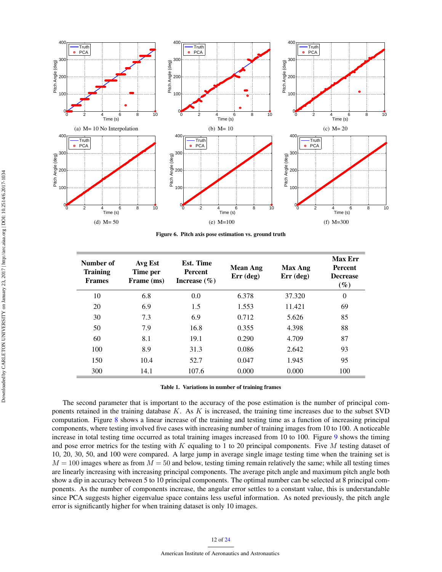

<span id="page-11-0"></span>Figure 6. Pitch axis pose estimation vs. ground truth

| Number of<br><b>Training</b><br><b>Frames</b> | Avg Est<br>Time per<br>Frame (ms) | Est. Time<br><b>Percent</b><br>Increase $(\% )$ | <b>Mean Ang</b><br>$Err$ (deg) | <b>Max Ang</b><br>$Err$ (deg) | <b>Max Err</b><br><b>Percent</b><br><b>Decrease</b><br>$(\%)$ |
|-----------------------------------------------|-----------------------------------|-------------------------------------------------|--------------------------------|-------------------------------|---------------------------------------------------------------|
| 10                                            | 6.8                               | 0.0                                             | 6.378                          | 37.320                        | $\Omega$                                                      |
| 20                                            | 6.9                               | 1.5                                             | 1.553                          | 11.421                        | 69                                                            |
| 30                                            | 7.3                               | 6.9                                             | 0.712                          | 5.626                         | 85                                                            |
| 50                                            | 7.9                               | 16.8                                            | 0.355                          | 4.398                         | 88                                                            |
| 60                                            | 8.1                               | 19.1                                            | 0.290                          | 4.709                         | 87                                                            |
| 100                                           | 8.9                               | 31.3                                            | 0.086                          | 2.642                         | 93                                                            |
| 150                                           | 10.4                              | 52.7                                            | 0.047                          | 1.945                         | 95                                                            |
| 300                                           | 14.1                              | 107.6                                           | 0.000                          | 0.000                         | 100                                                           |

<span id="page-11-1"></span>Table 1. Variations in number of training frames

The second parameter that is important to the accuracy of the pose estimation is the number of principal components retained in the training database  $K$ . As  $K$  is increased, the training time increases due to the subset SVD computation. Figure [8](#page-12-1) shows a linear increase of the training and testing time as a function of increasing principal components, where testing involved five cases with increasing number of training images from 10 to 100. A noticeable increase in total testing time occurred as total training images increased from 10 to 100. Figure [9](#page-13-0) shows the timing and pose error metrics for the testing with K equaling to 1 to 20 principal components. Five M testing dataset of 10, 20, 30, 50, and 100 were compared. A large jump in average single image testing time when the training set is  $M = 100$  images where as from  $M = 50$  and below, testing timing remain relatively the same; while all testing times are linearly increasing with increasing principal components. The average pitch angle and maximum pitch angle both show a dip in accuracy between 5 to 10 principal components. The optimal number can be selected at 8 principal components. As the number of components increase, the angular error settles to a constant value, this is understandable since PCA suggests higher eigenvalue space contains less useful information. As noted previously, the pitch angle error is significantly higher for when training dataset is only 10 images.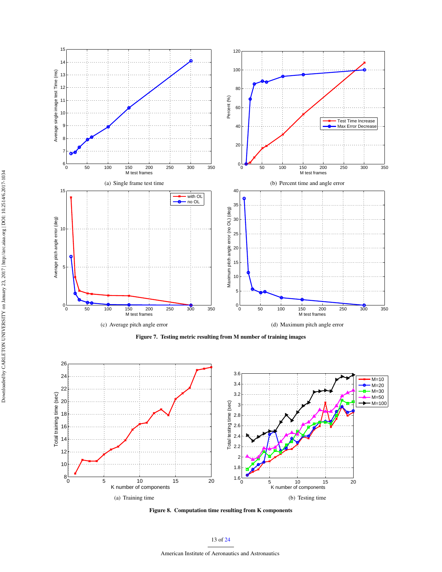

<span id="page-12-0"></span>Figure 7. Testing metric resulting from M number of training images



<span id="page-12-1"></span>Figure 8. Computation time resulting from K components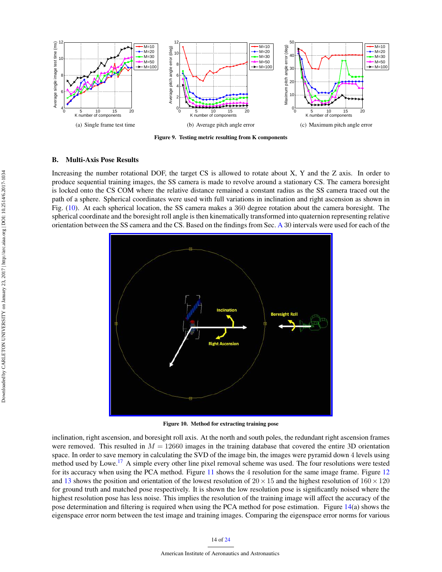

<span id="page-13-0"></span>Figure 9. Testing metric resulting from K components

#### B. Multi-Axis Pose Results

Increasing the number rotational DOF, the target CS is allowed to rotate about X, Y and the Z axis. In order to produce sequential training images, the SS camera is made to revolve around a stationary CS. The camera boresight is locked onto the CS COM where the relative distance remained a constant radius as the SS camera traced out the path of a sphere. Spherical coordinates were used with full variations in inclination and right ascension as shown in Fig. [\(10\)](#page-13-1). At each spherical location, the SS camera makes a 360 degree rotation about the camera boresight. The spherical coordinate and the boresight roll angle is then kinematically transformed into quaternion representing relative orientation between the SS camera and the CS. Based on the findings from Sec. [A](#page-10-3) 30 intervals were used for each of the



<span id="page-13-1"></span>Figure 10. Method for extracting training pose

inclination, right ascension, and boresight roll axis. At the north and south poles, the redundant right ascension frames were removed. This resulted in  $M = 12660$  images in the training database that covered the entire 3D orientation space. In order to save memory in calculating the SVD of the image bin, the images were pyramid down 4 levels using method used by Lowe.<sup>[17](#page-22-16)</sup> A simple every other line pixel removal scheme was used. The four resolutions were tested for its accuracy when using the PCA method. Figure [11](#page-14-0) shows the 4 resolution for the same image frame. Figure [12](#page-14-1) and [13](#page-14-2) shows the position and orientation of the lowest resolution of  $20 \times 15$  and the highest resolution of  $160 \times 120$ for ground truth and matched pose respectively. It is shown the low resolution pose is significantly noised where the highest resolution pose has less noise. This implies the resolution of the training image will affect the accuracy of the pose determination and filtering is required when using the PCA method for pose estimation. Figure [14\(](#page-15-1)a) shows the eigenspace error norm between the test image and training images. Comparing the eigenspace error norms for various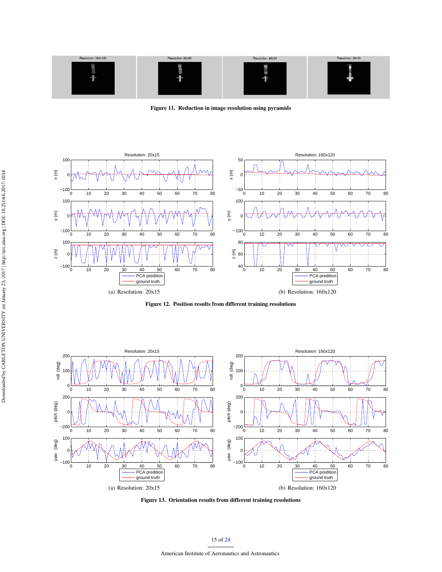

<span id="page-14-0"></span>Figure 11. Reduction in image resolution using pyramids



<span id="page-14-1"></span>Figure 12. Position results from different training resolutions



<span id="page-14-2"></span>Figure 13. Orientation results from different training resolutions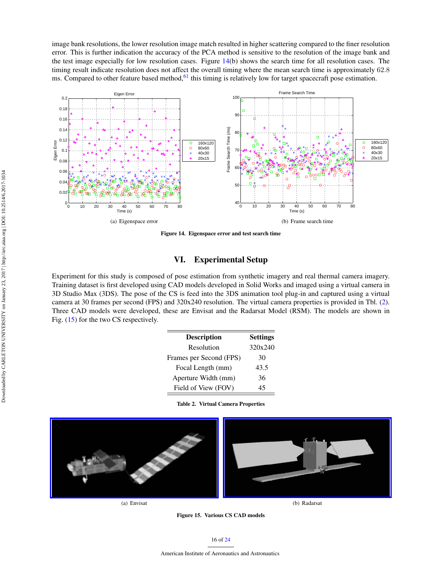image bank resolutions, the lower resolution image match resulted in higher scattering compared to the finer resolution error. This is further indication the accuracy of the PCA method is sensitive to the resolution of the image bank and the test image especially for low resolution cases. Figure [14\(](#page-15-1)b) shows the search time for all resolution cases. The timing result indicate resolution does not affect the overall timing where the mean search time is approximately 62.8 ms. Compared to other feature based method,<sup>[61](#page-23-18)</sup> this timing is relatively low for target spacecraft pose estimation.



<span id="page-15-1"></span>Figure 14. Eigenspace error and test search time

# VI. Experimental Setup

<span id="page-15-0"></span>Experiment for this study is composed of pose estimation from synthetic imagery and real thermal camera imagery. Training dataset is first developed using CAD models developed in Solid Works and imaged using a virtual camera in 3D Studio Max (3DS). The pose of the CS is feed into the 3DS animation tool plug-in and captured using a virtual camera at 30 frames per second (FPS) and 320x240 resolution. The virtual camera properties is provided in Tbl. [\(2\)](#page-15-2). Three CAD models were developed, these are Envisat and the Radarsat Model (RSM). The models are shown in Fig. [\(15\)](#page-15-3) for the two CS respectively.

| <b>Description</b>      | <b>Settings</b> |
|-------------------------|-----------------|
| Resolution              | 320x240         |
| Frames per Second (FPS) | 30              |
| Focal Length (mm)       | 43.5            |
| Aperture Width (mm)     | 36              |
| Field of View (FOV)     | 45              |

<span id="page-15-2"></span>Table 2. Virtual Camera Properties



<span id="page-15-3"></span>Figure 15. Various CS CAD models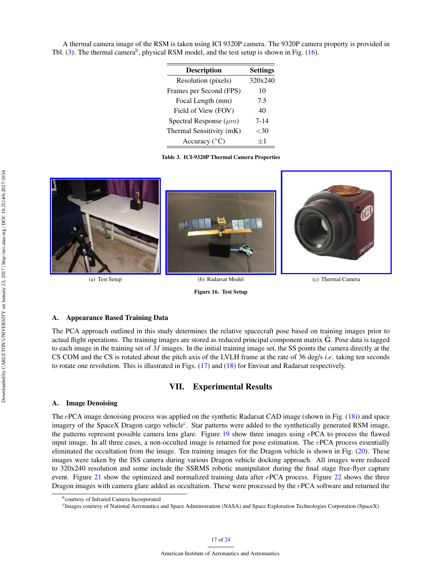A thermal camera image of the RSM is taken using ICI 9320P camera. The 9320P camera property is provided in Tbl. [\(3\)](#page-16-1). The thermal camera<sup>[b](#page-16-2)</sup>, physical RSM model, and the test setup is shown in Fig. [\(16\)](#page-16-3).

| <b>Description</b>          | <b>Settings</b> |
|-----------------------------|-----------------|
| Resolution (pixels)         | 320x240         |
| Frames per Second (FPS)     | 10              |
| Focal Length (mm)           | 7.5             |
| Field of View (FOV)         | 40              |
| Spectral Response $(\mu m)$ | $7 - 14$        |
| Thermal Sensitivity (mK)    | ${<}30$         |
| Accuracy $(^{\circ}C)$      |                 |

<span id="page-16-1"></span>Table 3. ICI-9320P Thermal Camera Properties



<span id="page-16-3"></span>Figure 16. Test Setup

# A. Appearance Based Training Data

The PCA approach outlined in this study determines the relative spacecraft pose based on training images prior to actual flight operations. The training images are stored as reduced principal component matrix **. Pose data is tagged** to each image in the training set of  $M$  images. In the initial training image set, the SS points the camera directly at the CS COM and the CS is rotated about the pitch axis of the LVLH frame at the rate of 36 deg/s *i.e*. taking ten seconds to rotate one revolution. This is illustrated in Figs. [\(17\)](#page-17-1) and [\(18\)](#page-18-0) for Envisat and Radarsat respectively.

#### VII. Experimental Results

#### <span id="page-16-0"></span>A. Image Denoising

The ePCA image denoising process was applied on the synthetic Radarsat CAD image (shown in Fig. [\(18\)](#page-18-0)) and space imagery of the Spa[c](#page-16-4)eX Dragon cargo vehicle<sup>c</sup>. Star patterns were added to the synthetically generated RSM image, the patterns represent possible camera lens glare. Figure [19](#page-18-1) show three images using ePCA to process the flawed input image. In all three cases, a non-occulted image is returned for pose estimation. The ePCA process essentially eliminated the occultation from the image. Ten training images for the Dragon vehicle is shown in Fig. [\(20\)](#page-19-0). These images were taken by the ISS camera during various Dragon vehicle docking approach. All images were reduced to 320x240 resolution and some include the SSRMS robotic manipulator during the final stage free-flyer capture event. Figure [21](#page-19-1) show the optimized and normalized training data after ePCA process. Figure [22](#page-20-0) shows the three Dragon images with camera glare added as occultation. These were processed by the ePCA software and returned the

<span id="page-16-2"></span>b courtesy of Infrared Camera Incorporated

<span id="page-16-4"></span>c Images courtesy of National Aeronautics and Space Administration (NASA) and Space Exploration Technologies Corporation (SpaceX)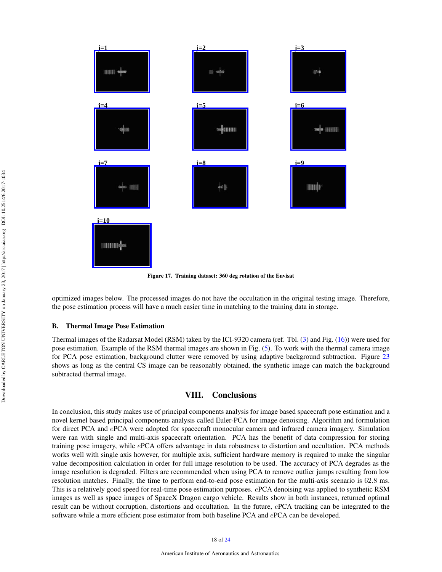

<span id="page-17-1"></span>Figure 17. Training dataset: 360 deg rotation of the Envisat

optimized images below. The processed images do not have the occultation in the original testing image. Therefore, the pose estimation process will have a much easier time in matching to the training data in storage.

#### B. Thermal Image Pose Estimation

Thermal images of the Radarsat Model (RSM) taken by the ICI-9320 camera (ref. Tbl. [\(3\)](#page-16-1) and Fig. [\(16\)](#page-16-3)) were used for pose estimation. Example of the RSM thermal images are shown in Fig. [\(5\)](#page-10-1). To work with the thermal camera image for PCA pose estimation, background clutter were removed by using adaptive background subtraction. Figure [23](#page-20-1) shows as long as the central CS image can be reasonably obtained, the synthetic image can match the background subtracted thermal image.

## VIII. Conclusions

<span id="page-17-0"></span>In conclusion, this study makes use of principal components analysis for image based spacecraft pose estimation and a novel kernel based principal components analysis called Euler-PCA for image denoising. Algorithm and formulation for direct PCA and ePCA were adopted for spacecraft monocular camera and infrared camera imagery. Simulation were ran with single and multi-axis spacecraft orientation. PCA has the benefit of data compression for storing training pose imagery, while ePCA offers advantage in data robustness to distortion and occultation. PCA methods works well with single axis however, for multiple axis, sufficient hardware memory is required to make the singular value decomposition calculation in order for full image resolution to be used. The accuracy of PCA degrades as the image resolution is degraded. Filters are recommended when using PCA to remove outlier jumps resulting from low resolution matches. Finally, the time to perform end-to-end pose estimation for the multi-axis scenario is 62.8 ms. This is a relatively good speed for real-time pose estimation purposes. ePCA denoising was applied to synthetic RSM images as well as space images of SpaceX Dragon cargo vehicle. Results show in both instances, returned optimal result can be without corruption, distortions and occultation. In the future, ePCA tracking can be integrated to the software while a more efficient pose estimator from both baseline PCA and ePCA can be developed.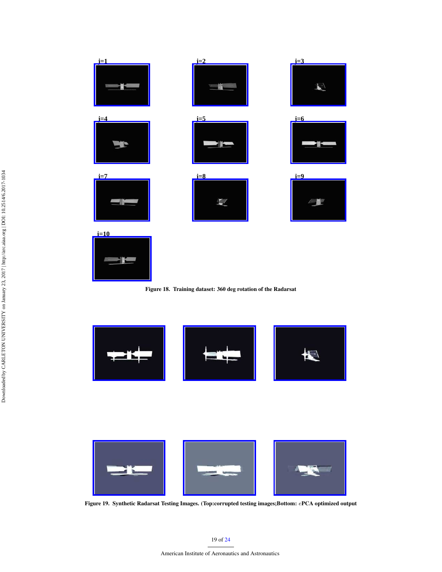

<span id="page-18-0"></span>



<span id="page-18-1"></span>

Figure 19. Synthetic Radarsat Testing Images. (Top:corrupted testing images;Bottom: ePCA optimized output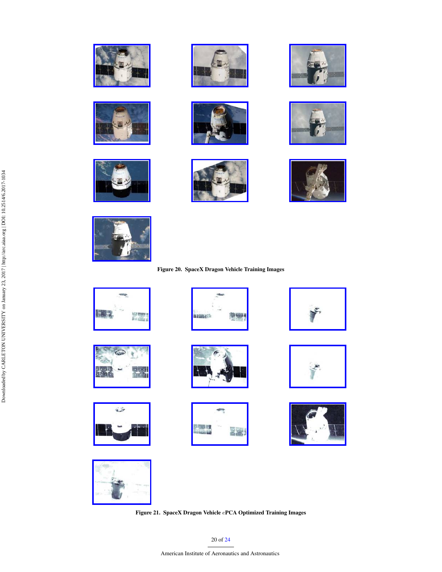



















# Figure 20. SpaceX Dragon Vehicle Training Images









<span id="page-19-0"></span>











<span id="page-19-1"></span>Figure 21. SpaceX Dragon Vehicle ePCA Optimized Training Images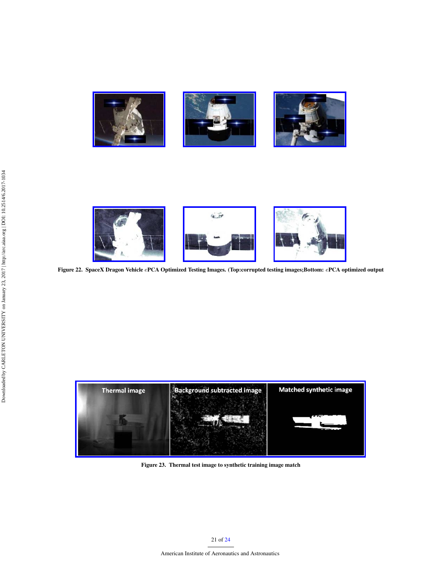

<span id="page-20-0"></span>

Figure 22. SpaceX Dragon Vehicle ePCA Optimized Testing Images. (Top:corrupted testing images;Bottom: ePCA optimized output



<span id="page-20-1"></span>Figure 23. Thermal test image to synthetic training image match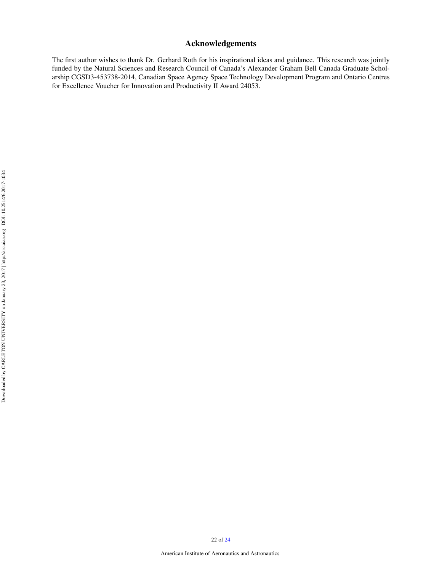# Acknowledgements

The first author wishes to thank Dr. Gerhard Roth for his inspirational ideas and guidance. This research was jointly funded by the Natural Sciences and Research Council of Canada's Alexander Graham Bell Canada Graduate Scholarship CGSD3-453738-2014, Canadian Space Agency Space Technology Development Program and Ontario Centres for Excellence Voucher for Innovation and Productivity II Award 24053.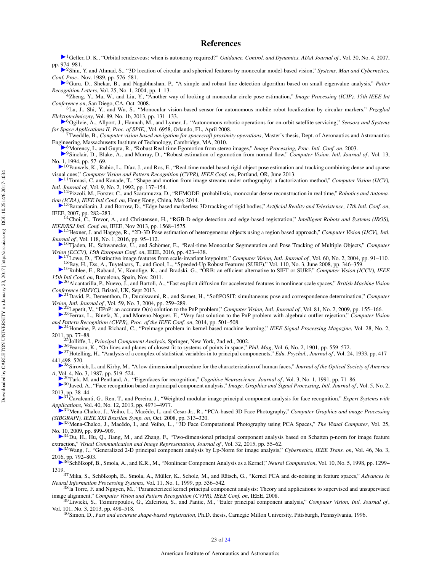#### References

<span id="page-22-0"></span>[1](http://arc.aiaa.org/action/showLinks?system=10.2514%2F1.27052)Geller, D. K., "Orbital rendezvous: when is autonomy required?" *Guidance, Control, and Dynamics, AIAA Journal of* , Vol. 30, No. 4, 2007, pp. [974](http://arc.aiaa.org/action/showLinks?crossref=10.1109%2FICSMC.1989.71362)–981.

<span id="page-22-1"></span><sup>2</sup>Shiu, Y. and Ahmad, S., "3D location of circular and spherical features by monocular model-based vision," *Systems, Man and Cybernetics, Co[nf. P](http://arc.aiaa.org/action/showLinks?crossref=10.1016%2Fj.patrec.2003.08.007)roc.*, Nov. 1989, pp. 576–581.

<span id="page-22-2"></span>3Guru, D., Shekar, B., and Nagabhushan, P., "A simple and robust line detection algorithm based on small eigenvalue analysis," Patter

<span id="page-22-3"></span>*Recognition Letters*, Vol. 25, No. 1, 2004, pp. 1–13. <sup>4</sup>Zheng, Y., Ma, W., and Liu, Y., "Another way of looking at monocular circle pose estimation," *Image Processing (ICIP), 15th IEEE Int*

<span id="page-22-4"></span>*Conference on*, San Diego, CA, Oct. 2008. <sup>5</sup>Lu, J., Shi, Y., and Wu, S., "Monocular vision-based sensor for autonomous mobile robot localization by circular markers," *Przeglad Ele[ktro](http://arc.aiaa.org/action/showLinks?crossref=10.1117%2F12.784081)techniczny*, Vol. 89, No. 1b, 2013, pp. 131–133.

<span id="page-22-5"></span><sup>6</sup>Ogilvie, A., Allport, J., Hannah, M., and Lymer, J., "Autonomous robotic operations for on-orbit satellite servicing," *Sensors and Systems for Space Applications II, Proc. of SPIE,*, Vol. 6958, Orlando, FL, April 2008.

<span id="page-22-6"></span><sup>7</sup>Tweddle, B., *Computer vision based navigation for spacecraft proximity operations*, Master's thesis, Dept. of Aeronautics and Astronautics En[gine](http://arc.aiaa.org/action/showLinks?crossref=10.1109%2FICIP.2003.1246781)ering, Massachusetts Institute of Technology, Cambridge, MA, 2010.

<span id="page-22-7"></span><sup>8</sup>Morency, L. and Gupta, R., "Robust Real-time Egomotion from stereo images," *Image Processing, Proc. Intl. Conf. on*, 2003.

<span id="page-22-8"></span>[9](http://arc.aiaa.org/action/showLinks?crossref=10.1007%2FBF01420795)Sinclair, D., Blake, A., and Murray, D., "Robust estimation of egomotion from normal flow," *Computer Vision. Intl. Journal of* , Vol. 13,

<span id="page-22-9"></span>N[o. 1](http://arc.aiaa.org/action/showLinks?crossref=10.1109%2FCVPR.2013.304), 1994, pp. 57–69.<br><sup>10</sup>Pauwels, K., Rubio, L., Díaz, J., and Ros, E., "Real-time model-based rigid object pose estimation and tracking combining dense and sparse vi[sua](http://arc.aiaa.org/action/showLinks?crossref=10.1007%2FBF00129684)l cues," *Computer Vision and Pattern Recognition (CVPR), IEEE Conf. on*, Portland, OR, June 2013.

<span id="page-22-10"></span><sup>11</sup>Tomasi, C. and Kanade, T., "Shape and motion from image streams under orthography: a factorization method," *Computer Vision (IJCV), In[tl. J](http://arc.aiaa.org/action/showLinks?crossref=10.1109%2FICRA.2014.6907233)ournal of* , Vol. 9, No. 2, 1992, pp. 137–154.

<span id="page-22-11"></span><sup>12</sup>Pizzoli, M., Forster, C., and Scaramuzza, D., "REMODE: probabilistic, monocular dense reconstruction in real time," *Robotics and Automati[on \(](http://arc.aiaa.org/action/showLinks?crossref=10.1109%2FICAT.2007.62)ICRA), IEEE Intl Conf. on*, Hong Kong, China, May 2014.

<span id="page-22-12"></span><sup>13</sup>Barandiarán, J. and Borrow, D., "Edge-based markerless 3D tracking of rigid bodies," Artificial Reality and Telexistence, 17th Intl. Conf. on,

<span id="page-22-13"></span>IEEE, 2007, pp. 282–283. <sup>14</sup>Choi, C., Trevor, A., and Christensen, H., "RGB-D edge detection and edge-based registration," *Intelligent Robots and Systems (IROS),*

<span id="page-22-14"></span>*IE[EE](http://arc.aiaa.org/action/showLinks?crossref=10.1007%2Fs11263-015-0873-2)/RSJ Intl. Conf. on*, IEEE, Nov 2013, pp. 1568–1575. <sup>15</sup>Hexner, J. and Hagege, R., "2D-3D Pose estimation of heterogeneous objects using a region based approach," *Computer Vision (IJCV), Intl. Jo[urn](http://arc.aiaa.org/action/showLinks?crossref=10.1007%2F978-3-319-46493-0_26)al of* , Vol. 118, No. 1, 2016, pp. 95–112.

<span id="page-22-15"></span>▶ <sup>16</sup>Tjaden, H., Schwanecke, U., and Schömer, E., "Real-time Monocular Segmentation and Pose Tracking of Multiple Objects," *Computer* 

<span id="page-22-16"></span>Vi[sion](http://arc.aiaa.org/action/showLinks?crossref=10.1023%2FB%3AVISI.0000029664.99615.94) (ECCV), 15th European Conf. on, IEEE, 2016, pp. 423–438.<br><sup>17</sup>Lowe, D., "Distinctive image features from scale-invariant keypoints," Computer Vision, Intl. Journal of, Vol. 60, No. 2, 2004, pp. 91–110. <sup>18</sup>Bay, H., Ess, A., Tuytelaars, T., and Gool, L., "Speeded-Up Robust Features (SURF)," Vol. 110, No. 3, June 2008, pp. 346–359.

<span id="page-22-18"></span><span id="page-22-17"></span><sup>19</sup>Rublee, E., Rabaud, V., Konolige, K., and Bradski, G., "ORB: an efficient alternative to SIFT or SURF," *Computer Vision (ICCV), IEEE 15[th](http://arc.aiaa.org/action/showLinks?crossref=10.5244%2FC.27.13) Intl Conf. on*, Barcelona, Spain, Nov. 2011.

<span id="page-22-19"></span><sup>20</sup>Alcantarilla, P., Nuevo, J., and Bartoli, A., "Fast explicit diffusion for accelerated features in nonlinear scale spaces," *British Machine Vision C[onfe](http://arc.aiaa.org/action/showLinks?crossref=10.1023%2FB%3AVISI.0000025800.10423.1f)rence (BMVC)*, Bristol, UK, Sept 2013.

<span id="page-22-20"></span><sup>21</sup>David, P., Dementhon, D., Duraiswami, R., and Samet, H., "SoftPOSIT: simultaneous pose and correspondence determination," *Computer Vi[sion](http://arc.aiaa.org/action/showLinks?crossref=10.1007%2Fs11263-008-0152-6), Intl. Journal of* , Vol. 59, No. 3, 2004, pp. 259–289.

<sup>22</sup>Lepetit, V., "EPnP: an accurate O(n) solution to the PnP problem," *Computer Vision, Intl. Journal of* , Vol. 81, No. 2, 2009, pp. 155–166.

<span id="page-22-21"></span><sup>23</sup>Ferraz, L., Binefa, X., and Moreno-Noguer, F., "Very fast solution to the PnP problem with algebraic outlier rejection," *Computer Vision an[d P](http://arc.aiaa.org/action/showLinks?crossref=10.1109%2FMSP.2010.939747)attern Recognition (CVPR), Proc. of the IEEE Conf. on*, 2014, pp. 501–508.

<span id="page-22-22"></span><sup>24</sup>Honeine, P. and Richard, C., "Preimage problem in kernel-based machine learning," *IEEE Signal Processing Magazine*, Vol. 28, No. 2, 2011, pp. 77–88.

<span id="page-22-23"></span><sup>25</sup>Jolliffe, I., *Principal Component Analysis*, Springer, New York, 2nd ed., 2002.

<span id="page-22-24"></span><sup>26</sup>Pearson, K., "On lines and planes of closest fit to systems of points in space," *Phil. Mag*, Vol. 6, No. 2, 1901, pp. 559–572.

<span id="page-22-25"></span><sup>27</sup>Hotelling, H., "Analysis of a complex of statistical variables in to principal componenets," *Edu. Psychol., Journal of* , Vol. 24, 1933, pp. 417– 44[1,4](http://arc.aiaa.org/action/showLinks?crossref=10.1364%2FJOSAA.4.000519)98–520.

<span id="page-22-26"></span><sup>28</sup>Sirovich, L. and Kirby, M., "A low dimensional procedure for the characterization of human faces," *Journal of the Optical Society of America*

<span id="page-22-27"></span>*A*, [Vo](http://arc.aiaa.org/action/showLinks?crossref=10.1162%2Fjocn.1991.3.1.71)l. 4, No. 3, 1987, pp. 519–524. <sup>29</sup>Turk, M. and Pentland, A., "Eigenfaces for recognition," *Cognitive Neuroscience, Journal of* , Vol. 3, No. 1, 1991, pp. 71–86.

<span id="page-22-28"></span>■<sup>30</sup>Javed, A., "Face recognition based on principal component analysis," *Image, Graphics and Signal Processing, Intl. Journal of*, Vol. 5, No. 2,

<span id="page-22-29"></span>20[13,](http://arc.aiaa.org/action/showLinks?crossref=10.1016%2Fj.eswa.2013.03.003) pp. 38–44. <sup>31</sup>Cavalcanti, G., Ren, T., and Pereira, J., "Weighted modular image principal component analysis for face recognition," *Expert Systems with*

<span id="page-22-30"></span>A*[ppli](http://arc.aiaa.org/action/showLinks?crossref=10.1109%2FSIBGRAPI.2008.40)cations*, Vol. 40, No. 12, 2013, pp. 4971–4977.<br><sup>32</sup>Mena-Chalco, J., Veiho, L., Macêdo, I., and Cesar-Jr., R., "PCA-based 3D Face Photography," *Computer Graphics and image Processing* 

<span id="page-22-31"></span>*(S[IBG](http://arc.aiaa.org/action/showLinks?crossref=10.1007%2Fs00371-009-0373-x)RAPI), IEEE XXI Brazilan Symp. on*, Oct. 2008, pp. 313–320. <sup>33</sup>Mena-Chalco, J., Macedo, I., and Veiho, L., "3D Face Computational Photography using PCA Spaces," ˆ *The Visual Computer*, Vol. 25,

<span id="page-22-32"></span>N[o. 1](http://arc.aiaa.org/action/showLinks?crossref=10.1016%2Fj.jvcir.2015.07.011)0, 2009, pp. 899–909.<br><sup>14</sup>Du, H., Hu, Q., Jiang, M., and Zhang, F., "Two-dimensional principal component analysis based on Schatten p-norm for image feature ex[trac](http://arc.aiaa.org/action/showLinks?crossref=10.1109%2FTCYB.2015.2416274)tion," *Visual Communication and Image Representation, Journal of* , Vol. 32, 2015, pp. 55–62.

<span id="page-22-33"></span><sup>35</sup>Wang, J., "Generalized 2-D principal component analysis by Lp-Norm for image analysis," *Cybernetics, IEEE Trans. on*, Vol. 46, No. 3, 20[16,](http://arc.aiaa.org/action/showLinks?crossref=10.1162%2F089976698300017467) pp. 792–803.<br>■ <sup>36</sup>Schölkopf, B., Smola, A., and K.R., M., "Nonlinear Component Analysis as a Kernel," *Neural Computation*, Vol. 10, No. 5, 1998, pp. 1299–

<span id="page-22-34"></span>1319.

<span id="page-22-37"></span><sup>37</sup>Mika, S., Schölkoph, B., Smola, A., Müller, K., Scholz, M., and Rätsch, G., "Kernel PCA and de-noising in feature spaces," Advances in *Neural Information Processing Systems*, Vol. 11, No. 1, 1999, pp. 536–542.

38<sup>la</sup> Torre, F. and Nguyen, M., "Parameterized kernel principal component analysis: Theory and applications to supervised and unsupervised

<span id="page-22-35"></span>image alignment," Computer Vision and Pattern Recognition (CVPR), IEEE Conf. on, IEEE, 2008.<br><sup>39</sup>Liwicki, S., Tzimiropoulos, G., Zafeiriou, S., and Pantic, M., "Euler principal component analysis," Computer Vision, Intl. J Vol. 101, No. 3, 2013, pp. 498–518.

<span id="page-22-36"></span><sup>40</sup>Simon, D., *Fast and accurate shape-based registration*, Ph.D. thesis, Carnegie Millon University, Pittsburgh, Pennsylvania, 1996.